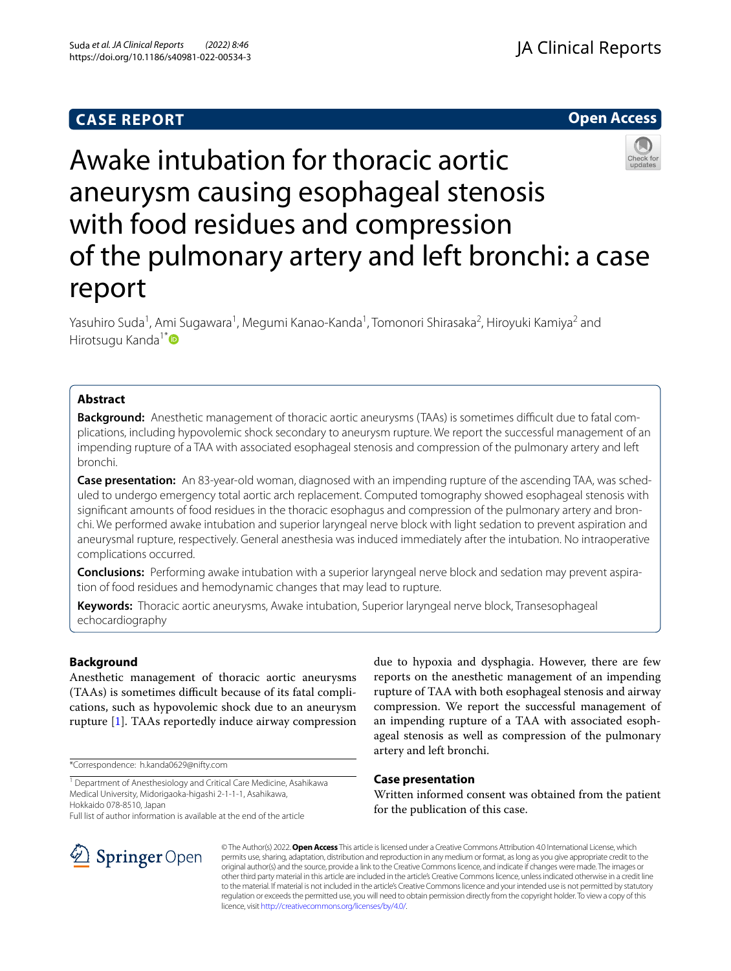## **CASE REPORT**





# Awake intubation for thoracic aortic aneurysm causing esophageal stenosis with food residues and compression of the pulmonary artery and left bronchi: a case report

Yasuhiro Suda<sup>1</sup>, Ami Sugawara<sup>1</sup>, Megumi Kanao-Kanda<sup>1</sup>, Tomonori Shirasaka<sup>2</sup>, Hiroyuki Kamiya<sup>2</sup> and Hirotsugu Kanda<sup>1\*</sup>

## **Abstract**

**Background:** Anesthetic management of thoracic aortic aneurysms (TAAs) is sometimes difficult due to fatal complications, including hypovolemic shock secondary to aneurysm rupture. We report the successful management of an impending rupture of a TAA with associated esophageal stenosis and compression of the pulmonary artery and left bronchi.

**Case presentation:** An 83-year-old woman, diagnosed with an impending rupture of the ascending TAA, was sched‑ uled to undergo emergency total aortic arch replacement. Computed tomography showed esophageal stenosis with significant amounts of food residues in the thoracic esophagus and compression of the pulmonary artery and bronchi. We performed awake intubation and superior laryngeal nerve block with light sedation to prevent aspiration and aneurysmal rupture, respectively. General anesthesia was induced immediately after the intubation. No intraoperative complications occurred.

**Conclusions:** Performing awake intubation with a superior laryngeal nerve block and sedation may prevent aspiration of food residues and hemodynamic changes that may lead to rupture.

**Keywords:** Thoracic aortic aneurysms, Awake intubation, Superior laryngeal nerve block, Transesophageal echocardiography

## **Background**

Anesthetic management of thoracic aortic aneurysms (TAAs) is sometimes difficult because of its fatal complications, such as hypovolemic shock due to an aneurysm rupture [[1\]](#page-3-0). TAAs reportedly induce airway compression

\*Correspondence: h.kanda0629@nifty.com

<sup>1</sup> Department of Anesthesiology and Critical Care Medicine, Asahikawa Medical University, Midorigaoka‑higashi 2‑1‑1‑1, Asahikawa, Hokkaido 078‑8510, Japan

Full list of author information is available at the end of the article

due to hypoxia and dysphagia. However, there are few reports on the anesthetic management of an impending rupture of TAA with both esophageal stenosis and airway compression. We report the successful management of an impending rupture of a TAA with associated esophageal stenosis as well as compression of the pulmonary artery and left bronchi.

## **Case presentation**

Written informed consent was obtained from the patient for the publication of this case.



© The Author(s) 2022. **Open Access** This article is licensed under a Creative Commons Attribution 4.0 International License, which permits use, sharing, adaptation, distribution and reproduction in any medium or format, as long as you give appropriate credit to the original author(s) and the source, provide a link to the Creative Commons licence, and indicate if changes were made. The images or other third party material in this article are included in the article's Creative Commons licence, unless indicated otherwise in a credit line to the material. If material is not included in the article's Creative Commons licence and your intended use is not permitted by statutory regulation or exceeds the permitted use, you will need to obtain permission directly from the copyright holder. To view a copy of this licence, visit [http://creativecommons.org/licenses/by/4.0/.](http://creativecommons.org/licenses/by/4.0/)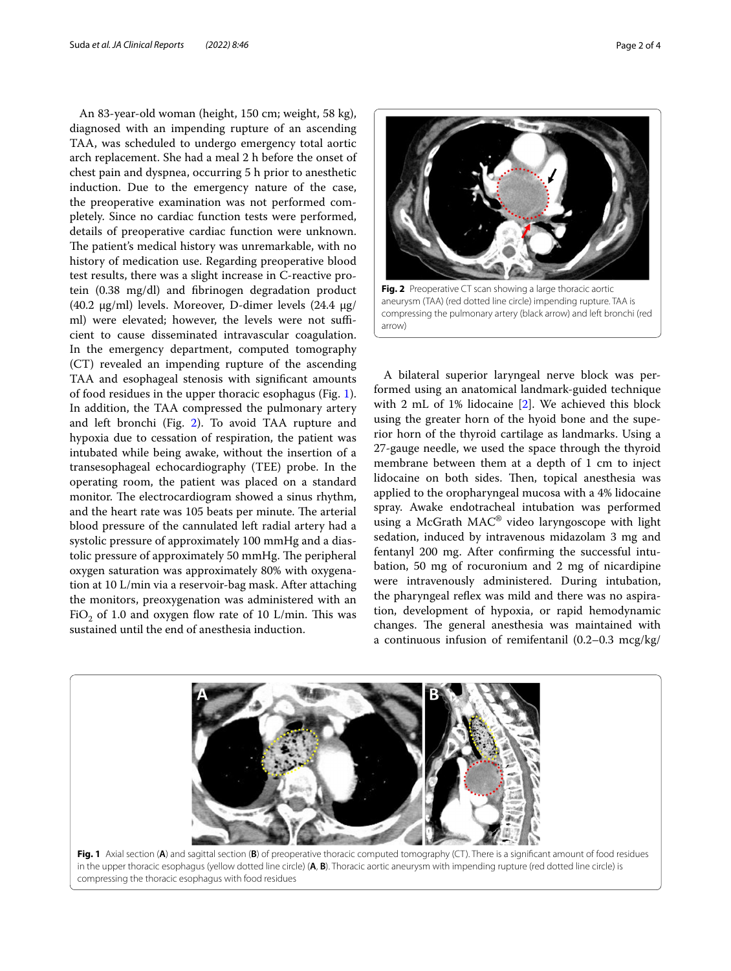An 83-year-old woman (height, 150 cm; weight, 58 kg), diagnosed with an impending rupture of an ascending TAA, was scheduled to undergo emergency total aortic arch replacement. She had a meal 2 h before the onset of chest pain and dyspnea, occurring 5 h prior to anesthetic induction. Due to the emergency nature of the case, the preoperative examination was not performed completely. Since no cardiac function tests were performed, details of preoperative cardiac function were unknown. The patient's medical history was unremarkable, with no history of medication use. Regarding preoperative blood test results, there was a slight increase in C-reactive protein (0.38 mg/dl) and fbrinogen degradation product (40.2 μg/ml) levels. Moreover, D-dimer levels (24.4 μg/ ml) were elevated; however, the levels were not sufficient to cause disseminated intravascular coagulation. In the emergency department, computed tomography (CT) revealed an impending rupture of the ascending TAA and esophageal stenosis with signifcant amounts of food residues in the upper thoracic esophagus (Fig. [1](#page-1-0)). In addition, the TAA compressed the pulmonary artery and left bronchi (Fig. [2\)](#page-1-1). To avoid TAA rupture and hypoxia due to cessation of respiration, the patient was intubated while being awake, without the insertion of a transesophageal echocardiography (TEE) probe. In the operating room, the patient was placed on a standard monitor. The electrocardiogram showed a sinus rhythm, and the heart rate was 105 beats per minute. The arterial blood pressure of the cannulated left radial artery had a systolic pressure of approximately 100 mmHg and a diastolic pressure of approximately 50 mmHg. The peripheral oxygen saturation was approximately 80% with oxygenation at 10 L/min via a reservoir-bag mask. After attaching the monitors, preoxygenation was administered with an FiO<sub>2</sub> of 1.0 and oxygen flow rate of 10 L/min. This was sustained until the end of anesthesia induction.



<span id="page-1-1"></span>compressing the pulmonary artery (black arrow) and left bronchi (red arrow)

A bilateral superior laryngeal nerve block was performed using an anatomical landmark-guided technique with 2 mL of 1% lidocaine [[2](#page-3-1)]. We achieved this block using the greater horn of the hyoid bone and the superior horn of the thyroid cartilage as landmarks. Using a 27-gauge needle, we used the space through the thyroid membrane between them at a depth of 1 cm to inject lidocaine on both sides. Then, topical anesthesia was applied to the oropharyngeal mucosa with a 4% lidocaine spray. Awake endotracheal intubation was performed using a McGrath MAC® video laryngoscope with light sedation, induced by intravenous midazolam 3 mg and fentanyl 200 mg. After confrming the successful intubation, 50 mg of rocuronium and 2 mg of nicardipine were intravenously administered. During intubation, the pharyngeal reflex was mild and there was no aspiration, development of hypoxia, or rapid hemodynamic changes. The general anesthesia was maintained with a continuous infusion of remifentanil (0.2–0.3 mcg/kg/



<span id="page-1-0"></span>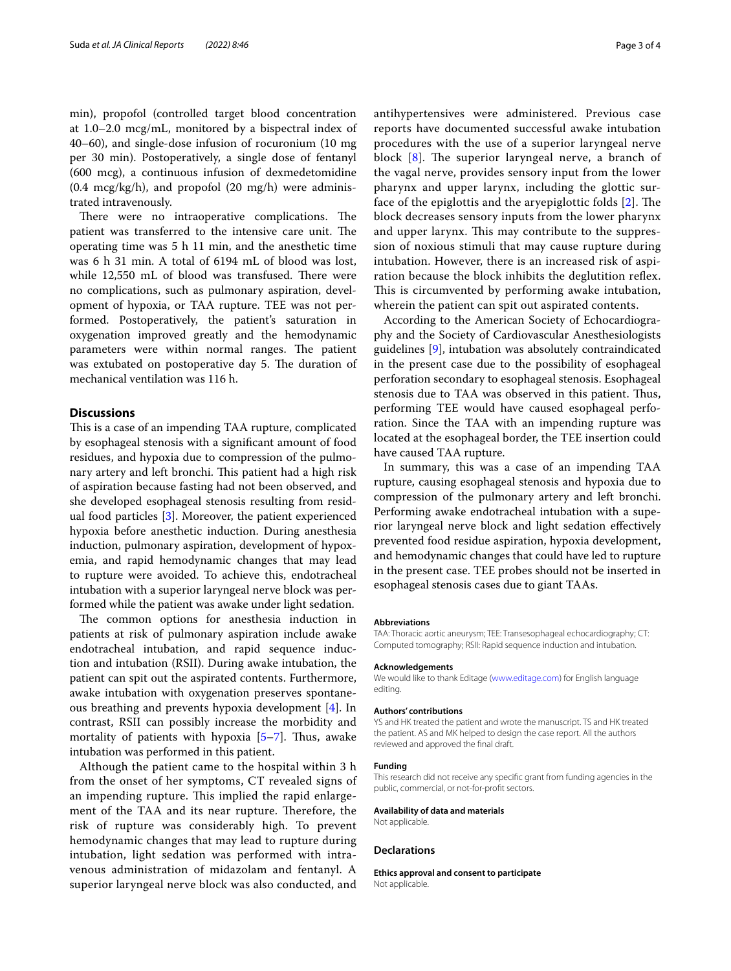min), propofol (controlled target blood concentration at 1.0–2.0 mcg/mL, monitored by a bispectral index of 40–60), and single-dose infusion of rocuronium (10 mg per 30 min). Postoperatively, a single dose of fentanyl (600 mcg), a continuous infusion of dexmedetomidine (0.4 mcg/kg/h), and propofol (20 mg/h) were administrated intravenously.

There were no intraoperative complications. The patient was transferred to the intensive care unit. The operating time was 5 h 11 min, and the anesthetic time was 6 h 31 min. A total of 6194 mL of blood was lost, while 12,550 mL of blood was transfused. There were no complications, such as pulmonary aspiration, development of hypoxia, or TAA rupture. TEE was not performed. Postoperatively, the patient's saturation in oxygenation improved greatly and the hemodynamic parameters were within normal ranges. The patient was extubated on postoperative day 5. The duration of mechanical ventilation was 116 h.

### **Discussions**

This is a case of an impending TAA rupture, complicated by esophageal stenosis with a signifcant amount of food residues, and hypoxia due to compression of the pulmonary artery and left bronchi. This patient had a high risk of aspiration because fasting had not been observed, and she developed esophageal stenosis resulting from residual food particles [[3\]](#page-3-2). Moreover, the patient experienced hypoxia before anesthetic induction. During anesthesia induction, pulmonary aspiration, development of hypoxemia, and rapid hemodynamic changes that may lead to rupture were avoided. To achieve this, endotracheal intubation with a superior laryngeal nerve block was performed while the patient was awake under light sedation.

The common options for anesthesia induction in patients at risk of pulmonary aspiration include awake endotracheal intubation, and rapid sequence induction and intubation (RSII). During awake intubation, the patient can spit out the aspirated contents. Furthermore, awake intubation with oxygenation preserves spontaneous breathing and prevents hypoxia development [\[4](#page-3-3)]. In contrast, RSII can possibly increase the morbidity and mortality of patients with hypoxia  $[5-7]$  $[5-7]$ . Thus, awake intubation was performed in this patient.

Although the patient came to the hospital within 3 h from the onset of her symptoms, CT revealed signs of an impending rupture. This implied the rapid enlargement of the TAA and its near rupture. Therefore, the risk of rupture was considerably high. To prevent hemodynamic changes that may lead to rupture during intubation, light sedation was performed with intravenous administration of midazolam and fentanyl. A superior laryngeal nerve block was also conducted, and antihypertensives were administered. Previous case reports have documented successful awake intubation procedures with the use of a superior laryngeal nerve block  $[8]$  $[8]$ . The superior laryngeal nerve, a branch of the vagal nerve, provides sensory input from the lower pharynx and upper larynx, including the glottic surface of the epiglottis and the aryepiglottic folds  $[2]$  $[2]$ . The block decreases sensory inputs from the lower pharynx and upper larynx. This may contribute to the suppression of noxious stimuli that may cause rupture during intubation. However, there is an increased risk of aspiration because the block inhibits the deglutition refex. This is circumvented by performing awake intubation, wherein the patient can spit out aspirated contents.

According to the American Society of Echocardiography and the Society of Cardiovascular Anesthesiologists guidelines [\[9](#page-3-7)], intubation was absolutely contraindicated in the present case due to the possibility of esophageal perforation secondary to esophageal stenosis. Esophageal stenosis due to TAA was observed in this patient. Thus, performing TEE would have caused esophageal perforation. Since the TAA with an impending rupture was located at the esophageal border, the TEE insertion could have caused TAA rupture.

In summary, this was a case of an impending TAA rupture, causing esophageal stenosis and hypoxia due to compression of the pulmonary artery and left bronchi. Performing awake endotracheal intubation with a superior laryngeal nerve block and light sedation efectively prevented food residue aspiration, hypoxia development, and hemodynamic changes that could have led to rupture in the present case. TEE probes should not be inserted in esophageal stenosis cases due to giant TAAs.

#### **Abbreviations**

TAA: Thoracic aortic aneurysm; TEE: Transesophageal echocardiography; CT: Computed tomography; RSII: Rapid sequence induction and intubation.

#### **Acknowledgements**

We would like to thank Editage ([www.editage.com\)](http://www.editage.com) for English language editing.

#### **Authors' contributions**

YS and HK treated the patient and wrote the manuscript. TS and HK treated the patient. AS and MK helped to design the case report. All the authors reviewed and approved the fnal draft.

#### **Funding**

This research did not receive any specifc grant from funding agencies in the public, commercial, or not-for-proft sectors.

#### **Availability of data and materials**

Not applicable.

#### **Declarations**

**Ethics approval and consent to participate** Not applicable.